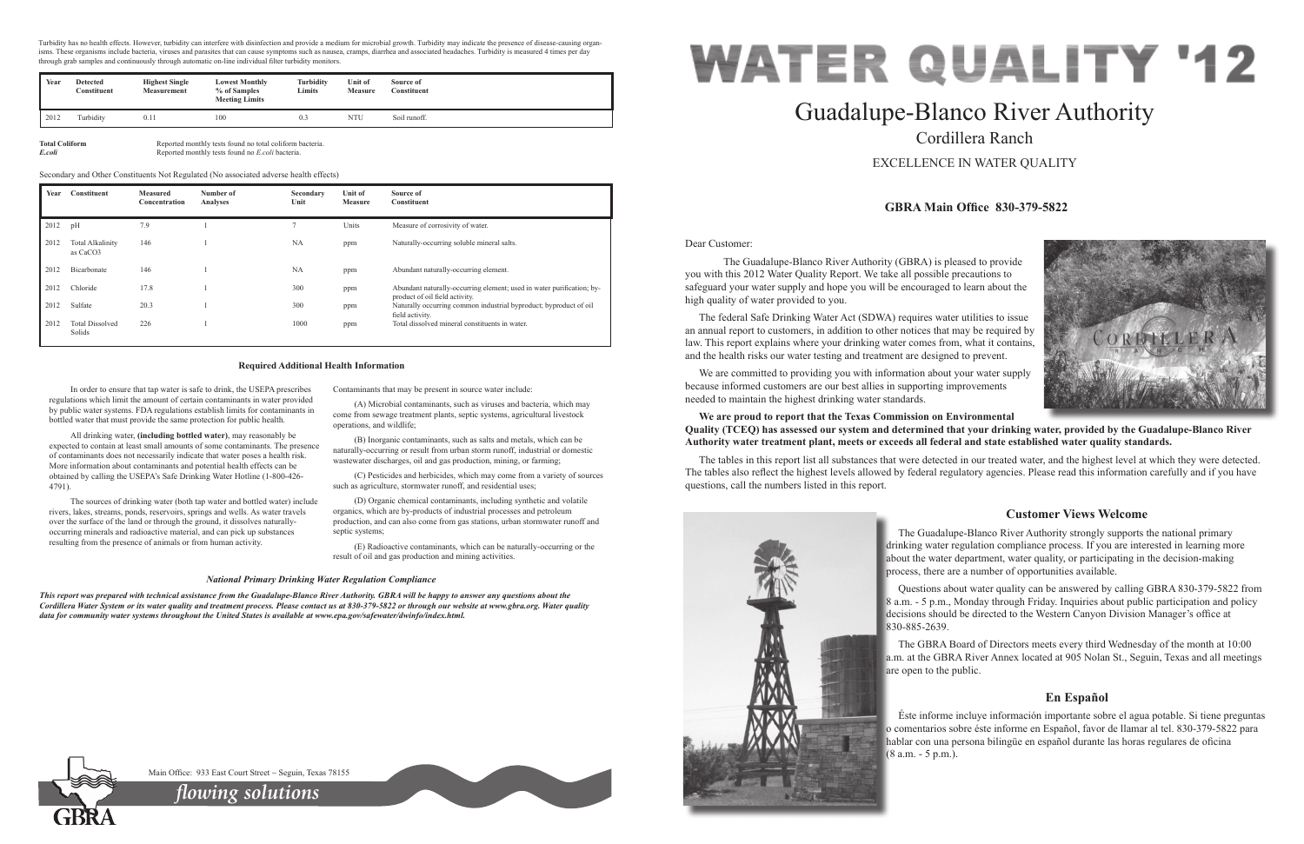Dear Customer:

 The Guadalupe-Blanco River Authority (GBRA) is pleased to provide you with this 2012 Water Quality Report. We take all possible precautions to safeguard your water supply and hope you will be encouraged to learn about the high quality of water provided to you.

The federal Safe Drinking Water Act (SDWA) requires water utilities to issue an annual report to customers, in addition to other notices that may be required by law. This report explains where your drinking water comes from, what it contains, and the health risks our water testing and treatment are designed to prevent.

We are committed to providing you with information about your water supply because informed customers are our best allies in supporting improvements needed to maintain the highest drinking water standards.

## **We are proud to report that the Texas Commission on Environmental Quality (TCEQ) has assessed our system and determined that your drinking water, provided by the Guadalupe-Blanco River Authority water treatment plant, meets or exceeds all federal and state established water quality standards.**

The tables in this report list all substances that were detected in our treated water, and the highest level at which they were detected. The tables also reflect the highest levels allowed by federal regulatory agencies. Please read this information carefully and if you have questions, call the numbers listed in this report.



# Guadalupe-Blanco River Authority Cordillera Ranch

EXCELLENCE IN WATER QUALITY

## **GBRA Main Office 830-379-5822**

## **Customer Views Welcome**

The Guadalupe-Blanco River Authority strongly supports the national primary drinking water regulation compliance process. If you are interested in learning more about the water department, water quality, or participating in the decision-making process, there are a number of opportunities available.

Questions about water quality can be answered by calling GBRA 830-379-5822 from 8 a.m. - 5 p.m., Monday through Friday. Inquiries about public participation and policy decisions should be directed to the Western Canyon Division Manager's office at 830-885-2639.

The GBRA Board of Directors meets every third Wednesday of the month at 10:00 a.m. at the GBRA River Annex located at 905 Nolan St., Seguin, Texas and all meetings are open to the public.

## **En Español**

Éste informe incluye información importante sobre el agua potable. Si tiene preguntas o comentarios sobre éste informe en Español, favor de llamar al tel. 830-379-5822 para hablar con una persona bilingüe en español durante las horas regulares de oficina (8 a.m. - 5 p.m.).



**Total Coliform** Reported monthly tests found no total coliform bacteria<br>**Example 18.** Reported monthly tests found no *Example to Leoli* bacteria. *E.coli* Reported monthly tests found no *E.coli* bacteria.

In order to ensure that tap water is safe to drink, the USEPA prescribes regulations which limit the amount of certain contaminants in water provided by public water systems. FDA regulations establish limits for contaminants in bottled water that must provide the same protection for public health.

All drinking water, **(including bottled water)**, may reasonably be expected to contain at least small amounts of some contaminants. The presence of contaminants does not necessarily indicate that water poses a health risk. More information about contaminants and potential health effects can be obtained by calling the USEPA's Safe Drinking Water Hotline (1-800-426- 4791).

Turbidity has no health effects. However, turbidity can interfere with disinfection and provide a medium for microbial growth. Turbidity may indicate the presence of disease-causing organisms. These organisms include bacteria, viruses and parasites that can cause symptoms such as nausea, cramps, diarrhea and associated headaches. Turbidity is measured 4 times per day through grab samples and continuously through automatic on-line individual filter turbidity monitors.

The sources of drinking water (both tap water and bottled water) include rivers, lakes, streams, ponds, reservoirs, springs and wells. As water travels over the surface of the land or through the ground, it dissolves naturallyoccurring minerals and radioactive material, and can pick up substances resulting from the presence of animals or from human activity.

Contaminants that may be present in source water include:

(A) Microbial contaminants, such as viruses and bacteria, which may come from sewage treatment plants, septic systems, agricultural livestock operations, and wildlife;

(B) Inorganic contaminants, such as salts and metals, which can be naturally-occurring or result from urban storm runoff, industrial or domestic wastewater discharges, oil and gas production, mining, or farming;

(C) Pesticides and herbicides, which may come from a variety of sources such as agriculture, stormwater runoff, and residential uses;

(D) Organic chemical contaminants, including synthetic and volatile organics, which are by-products of industrial processes and petroleum production, and can also come from gas stations, urban stormwater runoff and septic systems;

(E) Radioactive contaminants, which can be naturally-occurring or the result of oil and gas production and mining activities.

#### **Required Additional Health Information**

#### *National Primary Drinking Water Regulation Compliance*

*This report was prepared with technical assistance from the Guadalupe-Blanco River Authority. GBRA will be happy to answer any questions about the Cordillera Water System or its water quality and treatment process. Please contact us at 830-379-5822 or through our website at www.gbra.org. Water quality data for community water systems throughout the United States is available at www.epa.gov/safewater/dwinfo/index.html.*



Main Office: 933 East Court Street ~ Seguin, Texas 78155

*flowing solutions*

| Year | Constituent                         | <b>Measured</b><br>Concentration | Number of<br><b>Analyses</b> | Secondary<br>Unit | Unit of<br><b>Measure</b> | Source of<br>Constituent                                                                                |
|------|-------------------------------------|----------------------------------|------------------------------|-------------------|---------------------------|---------------------------------------------------------------------------------------------------------|
| 2012 | pH                                  | 7.9                              |                              |                   | Units                     | Measure of corrosivity of water.                                                                        |
| 2012 | <b>Total Alkalinity</b><br>as CaCO3 | 146                              |                              | NA                | ppm                       | Naturally-occurring soluble mineral salts.                                                              |
| 2012 | Bicarbonate                         | 146                              |                              | <b>NA</b>         | ppm                       | Abundant naturally-occurring element.                                                                   |
| 2012 | Chloride                            | 17.8                             |                              | 300               | ppm                       | Abundant naturally-occurring element; used in water purification; by-<br>product of oil field activity. |
| 2012 | Sulfate                             | 20.3                             |                              | 300               | ppm                       | Naturally occurring common industrial byproduct; byproduct of oil<br>field activity.                    |
| 2012 | <b>Total Dissolved</b><br>Solids    | 226                              |                              | 1000              | ppm                       | Total dissolved mineral constituents in water.                                                          |

Secondary and Other Constituents Not Regulated (No associated adverse health effects)

| Year | <b>Detected</b><br>Constituent | <b>Highest Single</b><br>Measurement | <b>Lowest Monthly</b><br>% of Samples<br><b>Meeting Limits</b> | <b>Turbidity</b><br>Limits | Unit of<br><b>Measure</b> | Source of<br>Constituent |
|------|--------------------------------|--------------------------------------|----------------------------------------------------------------|----------------------------|---------------------------|--------------------------|
| 2012 | Turbidity                      | 0.1.                                 | 100                                                            | 0.3                        | <b>NTU</b>                | Soil runoff.             |